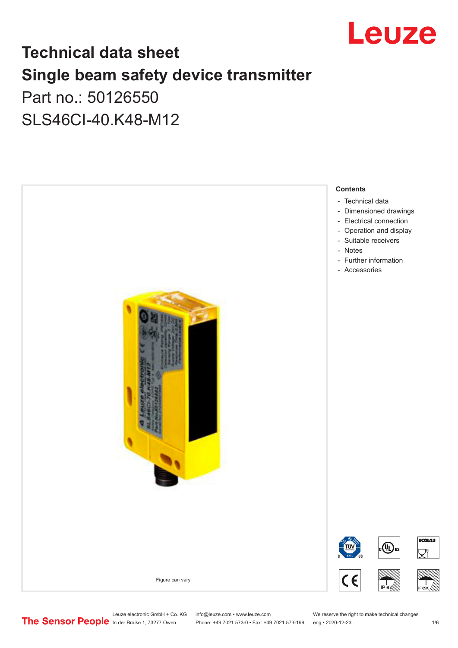

# **Technical data sheet Single beam safety device transmitter** Part no.: 50126550

SLS46CI-40.K48-M12



Leuze electronic GmbH + Co. KG info@leuze.com • www.leuze.com We reserve the right to make technical changes<br>
The Sensor People in der Braike 1, 73277 Owen Phone: +49 7021 573-0 • Fax: +49 7021 573-199 eng • 2020-12-23

Phone: +49 7021 573-0 • Fax: +49 7021 573-199 eng • 2020-12-23 1 /6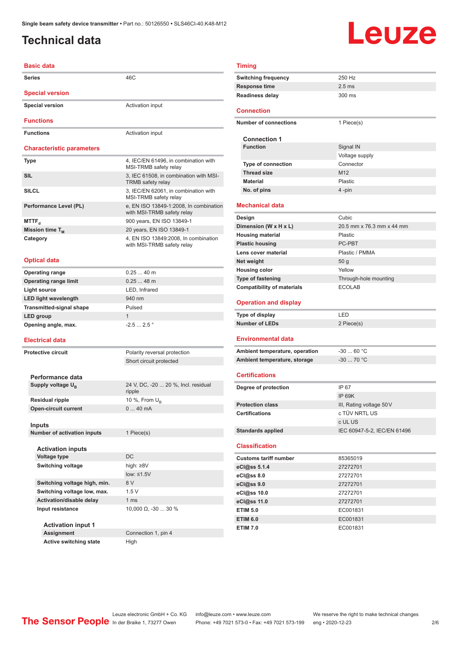# <span id="page-1-0"></span>**Technical data**

# Leuze

### **Basic data**

| <b>Series</b>                    | 46C                                                                  | <b>Switching frequency</b>        | 250 Hz                     |
|----------------------------------|----------------------------------------------------------------------|-----------------------------------|----------------------------|
|                                  |                                                                      | <b>Response time</b>              | 2.5 <sub>ms</sub>          |
| <b>Special version</b>           |                                                                      | <b>Readiness delay</b>            | 300 ms                     |
| <b>Special version</b>           | Activation input                                                     | Connection                        |                            |
| <b>Functions</b>                 |                                                                      | <b>Number of connections</b>      | 1 Piece(s)                 |
|                                  |                                                                      |                                   |                            |
| <b>Functions</b>                 | Activation input                                                     | <b>Connection 1</b>               |                            |
| <b>Characteristic parameters</b> |                                                                      | <b>Function</b>                   | Signal IN                  |
|                                  |                                                                      |                                   | Voltage sup                |
| Type                             | 4, IEC/EN 61496, in combination with<br>MSI-TRMB safety relay        | <b>Type of connection</b>         | Connector                  |
| <b>SIL</b>                       | 3, IEC 61508, in combination with MSI-                               | <b>Thread size</b>                | M <sub>12</sub>            |
|                                  | TRMB safety relay                                                    | <b>Material</b>                   | Plastic                    |
| <b>SILCL</b>                     | 3, IEC/EN 62061, in combination with<br>MSI-TRMB safety relay        | No. of pins                       | 4 -pin                     |
| Performance Level (PL)           | e, EN ISO 13849-1:2008, In combination<br>with MSI-TRMB safety relay | Mechanical data                   |                            |
| $MTTF_{d}$                       | 900 years, EN ISO 13849-1                                            | Design                            | Cubic                      |
| Mission time T <sub>M</sub>      | 20 years, EN ISO 13849-1                                             | Dimension (W x H x L)             | 20.5 mm x                  |
| Category                         | 4, EN ISO 13849:2008, In combination                                 | <b>Housing material</b>           | Plastic                    |
|                                  | with MSI-TRMB safety relay                                           | <b>Plastic housing</b>            | PC-PBT                     |
|                                  |                                                                      | Lens cover material               | Plastic / PM               |
| <b>Optical data</b>              |                                                                      | Net weight                        | 50 g                       |
| <b>Operating range</b>           | $0.2540$ m                                                           | <b>Housing color</b>              | Yellow                     |
| <b>Operating range limit</b>     | $0.2548$ m                                                           | <b>Type of fastening</b>          | Through-ho                 |
| <b>Light source</b>              | LED, Infrared                                                        | <b>Compatibility of materials</b> | ECOLAB                     |
| <b>LED light wavelength</b>      | 940 nm                                                               |                                   |                            |
| <b>Transmitted-signal shape</b>  | Pulsed                                                               | <b>Operation and display</b>      |                            |
| LED group                        | $\mathbf{1}$                                                         | Type of display                   | LED                        |
| Opening angle, max.              | $-2.52.5$ $^{\circ}$                                                 | <b>Number of LEDs</b>             | 2 Piece(s)                 |
| <b>Electrical data</b>           |                                                                      | <b>Environmental data</b>         |                            |
| <b>Protective circuit</b>        | Polarity reversal protection                                         | Ambient temperature, operation    | $-3060$ °                  |
|                                  | Short circuit protected                                              | Ambient temperature, storage      | $-3070$ °                  |
|                                  |                                                                      |                                   |                            |
| Performance data                 |                                                                      | <b>Certifications</b>             |                            |
| Supply voltage $U_{\rm B}$       | 24 V, DC, -20  20 %, Incl. residual                                  | Degree of protection              | IP 67                      |
|                                  | ripple                                                               |                                   | <b>IP 69K</b>              |
| <b>Residual ripple</b>           | 10 %, From $U_{\rm B}$                                               | <b>Protection class</b>           |                            |
| <b>Open-circuit current</b>      | 040mA                                                                | Certifications                    | III, Rating v<br>c TÜV NRT |
|                                  |                                                                      |                                   | c UL US                    |
| <b>Inputs</b>                    |                                                                      | <b>Standards applied</b>          | IEC 60947-                 |
| Number of activation inputs      | 1 Piece(s)                                                           |                                   |                            |
| <b>Activation inputs</b>         |                                                                      | <b>Classification</b>             |                            |
| <b>Voltage type</b>              | <b>DC</b>                                                            |                                   |                            |
| <b>Switching voltage</b>         | high: ≥8V                                                            | <b>Customs tariff number</b>      | 85365019                   |
|                                  | low: $\leq 1.5V$                                                     | eCl@ss 5.1.4                      | 27272701                   |
| Switching voltage high, min.     | 8 V                                                                  | eCl@ss 8.0                        | 27272701                   |
| Switching voltage low, max.      | 1.5V                                                                 | eCl@ss 9.0                        | 27272701                   |
| Activation/disable delay         | 1 ms                                                                 | eCl@ss 10.0                       | 27272701                   |
| Input resistance                 | 10,000 $\Omega$ , -30  30 %                                          | eCl@ss 11.0                       | 27272701                   |
|                                  |                                                                      | <b>ETIM 5.0</b>                   | EC001831                   |
| <b>Activation input 1</b>        |                                                                      | <b>ETIM 6.0</b>                   | EC001831                   |
| <b>Assignment</b>                | Connection 1, pin 4                                                  | <b>ETIM 7.0</b>                   | EC001831                   |
| <b>Active switching state</b>    | High                                                                 |                                   |                            |
|                                  |                                                                      |                                   |                            |

|                           | <b>Timing</b>              |                           |
|---------------------------|----------------------------|---------------------------|
|                           | <b>Switching frequency</b> | 250 Hz                    |
|                           | <b>Response time</b>       | $2.5$ ms                  |
|                           | <b>Readiness delay</b>     | $300$ ms                  |
|                           | <b>Connection</b>          |                           |
|                           | Number of connections      | 1 Piece(s)                |
|                           | <b>Connection 1</b>        |                           |
|                           | <b>Function</b>            | Signal IN                 |
|                           |                            | Voltage supply            |
|                           | <b>Type of connection</b>  | Connector                 |
|                           | <b>Thread size</b>         | M <sub>12</sub>           |
|                           | <b>Material</b>            | Plastic                   |
|                           | No. of pins                | 4-pin                     |
|                           | <b>Mechanical data</b>     |                           |
|                           | Design                     | Cubic                     |
| Dimension (W x H x L)     |                            | 20.5 mm x 76.3 mm x 44 mm |
| the contract construction |                            |                           |

| <b>Housing material</b>           | Plastic                     |
|-----------------------------------|-----------------------------|
| <b>Plastic housing</b>            | PC-PBT                      |
| Lens cover material               | Plastic / PMMA              |
| Net weight                        | 50 <sub>q</sub>             |
| <b>Housing color</b>              | Yellow                      |
| Type of fastening                 | Through-hole mounting       |
| <b>Compatibility of materials</b> | <b>ECOLAB</b>               |
|                                   |                             |
| <b>Operation and display</b>      |                             |
| Type of display                   | LED                         |
| <b>Number of LEDs</b>             | 2 Piece(s)                  |
|                                   |                             |
| <b>Environmental data</b>         |                             |
| Ambient temperature, operation    | $-3060 °C$                  |
| Ambient temperature, storage      | $-30$ 70 °C                 |
|                                   |                             |
| <b>Certifications</b>             |                             |
| Degree of protection              | IP 67                       |
|                                   | <b>IP 69K</b>               |
| <b>Protection class</b>           | III, Rating voltage 50 V    |
| <b>Certifications</b>             | c TÜV NRTL US               |
|                                   | c UL US                     |
| <b>Standards applied</b>          | IEC 60947-5-2, IEC/EN 61496 |
|                                   |                             |
| <b>Classification</b>             |                             |
| <b>Customs tariff number</b>      | 85365019                    |
| eCl@ss 5.1.4                      | 27272701                    |
| eCl@ss 8.0                        | 27272701                    |
|                                   |                             |
| eCl@ss 9.0                        | 27272701                    |
| eCl@ss 10.0                       | 27272701                    |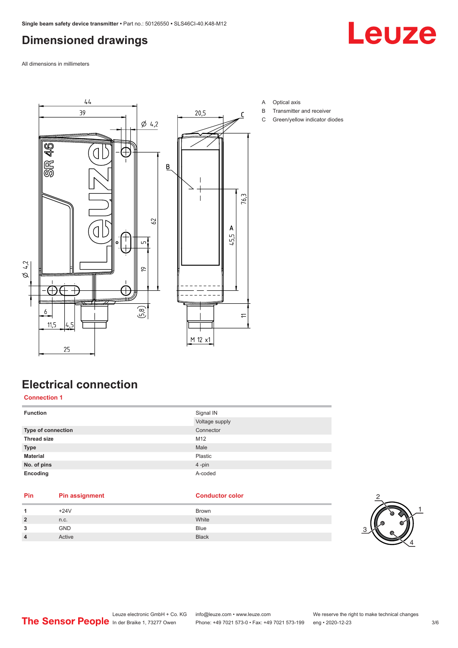# <span id="page-2-0"></span>**Dimensioned drawings**

Leuze

All dimensions in millimeters



- A Optical axis
- B Transmitter and receiver
- C Green/yellow indicator diodes

# **Electrical connection**

**Connection 1**

| <b>Function</b>    | Signal IN      |
|--------------------|----------------|
|                    | Voltage supply |
| Type of connection | Connector      |
| <b>Thread size</b> | M12            |
| <b>Type</b>        | Male           |
| <b>Material</b>    | Plastic        |
| No. of pins        | 4-pin          |
| Encoding           | A-coded        |

# **Pin Pin assignment Conductor Conductor Color**

|                | $+24V$     | Brown        |
|----------------|------------|--------------|
| $\overline{2}$ | n.c.       | White        |
| 3              | <b>GND</b> | <b>Blue</b>  |
| 4              | Active     | <b>Black</b> |

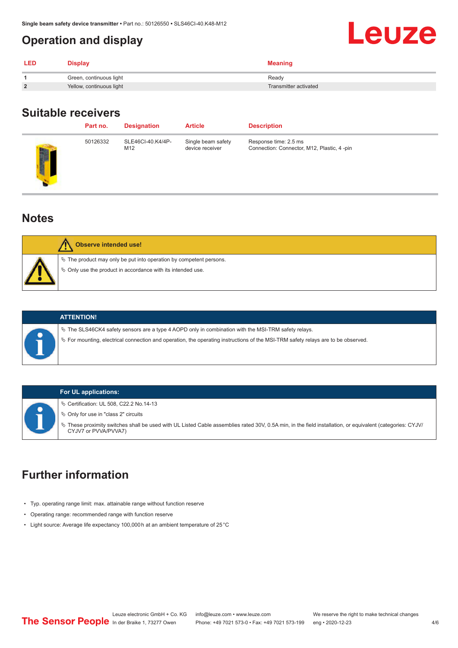# <span id="page-3-0"></span>**Operation and display**

| <b>LED</b>     | Display                  | <b>Meaning</b>        |
|----------------|--------------------------|-----------------------|
|                | Green, continuous light  | Ready                 |
| $\overline{2}$ | Yellow, continuous light | Transmitter activated |

### **Suitable receivers**

|    | Part no. | <b>Designation</b>       | <b>Article</b>                        | <b>Description</b>                                                   |
|----|----------|--------------------------|---------------------------------------|----------------------------------------------------------------------|
| щ, | 50126332 | SLE46CI-40.K4/4P-<br>M12 | Single beam safety<br>device receiver | Response time: 2.5 ms<br>Connection: Connector, M12, Plastic, 4 -pin |
|    |          |                          |                                       |                                                                      |

#### **Notes**

| <b>Observe intended use!</b>                                                                                                         |
|--------------------------------------------------------------------------------------------------------------------------------------|
| $\%$ The product may only be put into operation by competent persons.<br>§ Only use the product in accordance with its intended use. |



#### **ATTENTION!**

 $\%$  The SLS46CK4 safety sensors are a type 4 AOPD only in combination with the MSI-TRM safety relays.

ª For mounting, electrical connection and operation, the operating instructions of the MSI-TRM safety relays are to be observed.

#### **For UL applications:**

ª Certification: UL 508, C22.2 No.14-13

 $\%$  Only for use in "class 2" circuits

ª These proximity switches shall be used with UL Listed Cable assemblies rated 30V, 0.5A min, in the field installation, or equivalent (categories: CYJV/ CYJV7 or PVVA/PVVA7)

# **Further information**

- Typ. operating range limit: max. attainable range without function reserve
- Operating range: recommended range with function reserve
- Light source: Average life expectancy 100,000 h at an ambient temperature of 25 °C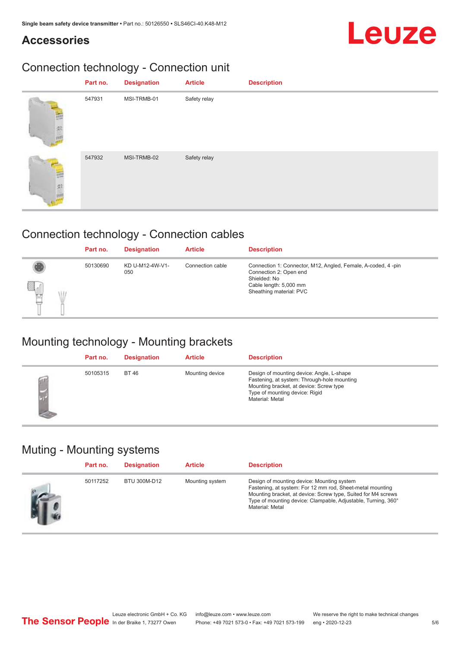# **Accessories**

# Leuze

# Connection technology - Connection unit

|   | Part no. | <b>Designation</b> | <b>Article</b> | <b>Description</b> |
|---|----------|--------------------|----------------|--------------------|
|   | 547931   | MSI-TRMB-01        | Safety relay   |                    |
| 蛋 | 547932   | MSI-TRMB-02        | Safety relay   |                    |

# Connection technology - Connection cables

|             | Part no. | <b>Designation</b>     | <b>Article</b>   | <b>Description</b>                                                                                                                                          |
|-------------|----------|------------------------|------------------|-------------------------------------------------------------------------------------------------------------------------------------------------------------|
| a<br>뻡<br>U | 50130690 | KD U-M12-4W-V1-<br>050 | Connection cable | Connection 1: Connector, M12, Angled, Female, A-coded, 4-pin<br>Connection 2: Open end<br>Shielded: No<br>Cable length: 5,000 mm<br>Sheathing material: PVC |

# Mounting technology - Mounting brackets

| Part no. | <b>Designation</b> | <b>Article</b>  | <b>Description</b>                                                                                                                                                                       |
|----------|--------------------|-----------------|------------------------------------------------------------------------------------------------------------------------------------------------------------------------------------------|
| 50105315 | <b>BT 46</b>       | Mounting device | Design of mounting device: Angle, L-shape<br>Fastening, at system: Through-hole mounting<br>Mounting bracket, at device: Screw type<br>Type of mounting device: Rigid<br>Material: Metal |

# Muting - Mounting systems

| Part no. | <b>Designation</b> | <b>Article</b>  | <b>Description</b>                                                                                                                                                                                                                                           |
|----------|--------------------|-----------------|--------------------------------------------------------------------------------------------------------------------------------------------------------------------------------------------------------------------------------------------------------------|
| 50117252 | BTU 300M-D12       | Mounting system | Design of mounting device: Mounting system<br>Fastening, at system: For 12 mm rod, Sheet-metal mounting<br>Mounting bracket, at device: Screw type, Suited for M4 screws<br>Type of mounting device: Clampable, Adjustable, Turning, 360°<br>Material: Metal |